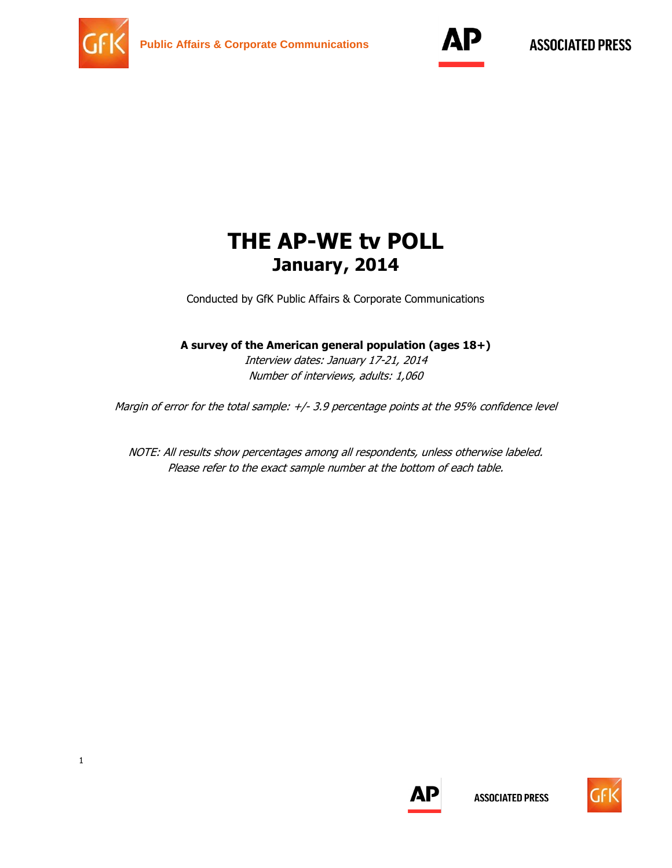



# **THE AP-WE tv POLL January, 2014**

Conducted by GfK Public Affairs & Corporate Communications

### **A survey of the American general population (ages 18+)**

Interview dates: January 17-21, 2014 Number of interviews, adults: 1,060

Margin of error for the total sample:  $+/$ - 3.9 percentage points at the 95% confidence level

NOTE: All results show percentages among all respondents, unless otherwise labeled. Please refer to the exact sample number at the bottom of each table.



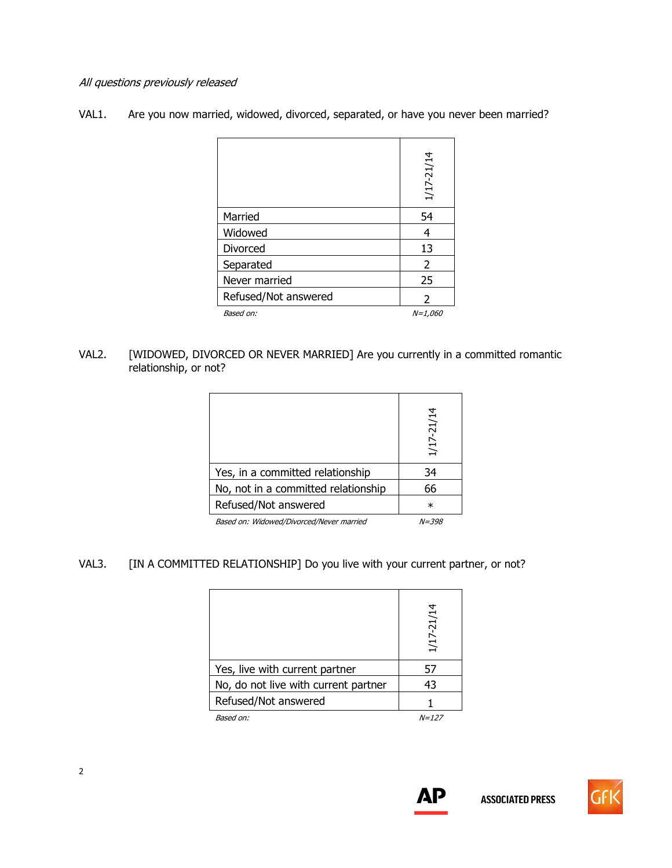#### All questions previously released

| VAL1. |  | Are you now married, widowed, divorced, separated, or have you never been married? |
|-------|--|------------------------------------------------------------------------------------|
|       |  |                                                                                    |

|                      | 1/17-21/14    |
|----------------------|---------------|
| Married              | 54            |
| Widowed              | 4             |
| Divorced             | 13            |
| Separated            | $\mathcal{P}$ |
| Never married        | 25            |
| Refused/Not answered | $\mathcal{P}$ |
| Based on:            | $N = 1,060$   |

#### VAL2. [WIDOWED, DIVORCED OR NEVER MARRIED] Are you currently in a committed romantic relationship, or not?

|                                          | 1/17-21/14 |
|------------------------------------------|------------|
| Yes, in a committed relationship         | 34         |
| No, not in a committed relationship      | 66         |
| Refused/Not answered                     | $\ast$     |
| Based on: Widowed/Divorced/Never married | $N = 398$  |

## VAL3. [IN A COMMITTED RELATIONSHIP] Do you live with your current partner, or not?

|                                      | 1/17-21/14   |
|--------------------------------------|--------------|
| Yes, live with current partner       | 57           |
| No, do not live with current partner | 43           |
| Refused/Not answered                 |              |
| Based on:                            | <i>N=127</i> |



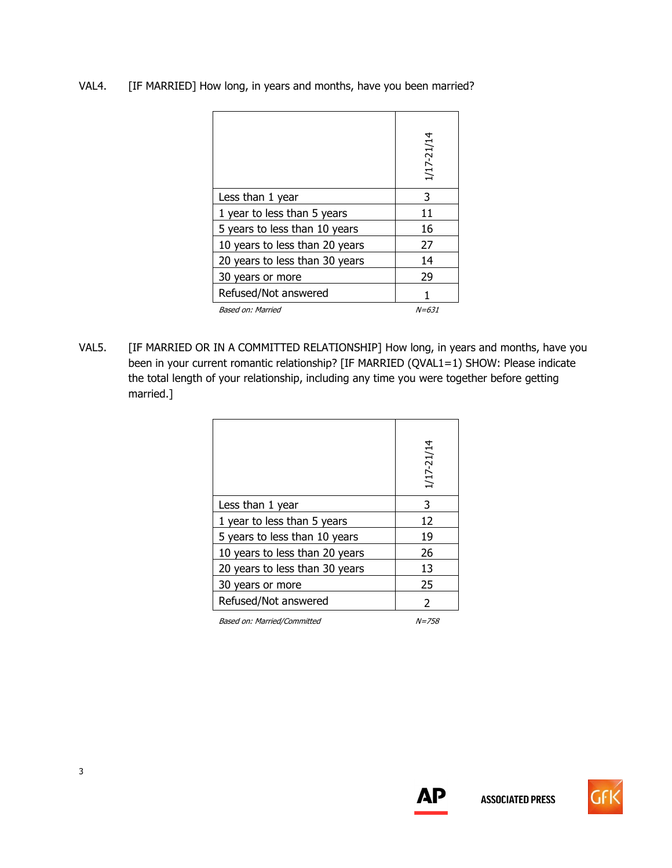|  | VAL4. |  | [IF MARRIED] How long, in years and months, have you been married? |  |
|--|-------|--|--------------------------------------------------------------------|--|
|--|-------|--|--------------------------------------------------------------------|--|

|                                | 1/17-21/14   |
|--------------------------------|--------------|
| Less than 1 year               | 3            |
| 1 year to less than 5 years    | 11           |
| 5 years to less than 10 years  | 16           |
| 10 years to less than 20 years | 27           |
| 20 years to less than 30 years | 14           |
| 30 years or more               | 29           |
| Refused/Not answered           |              |
| Based on: Married              | <i>N=631</i> |

VAL5. [IF MARRIED OR IN A COMMITTED RELATIONSHIP] How long, in years and months, have you been in your current romantic relationship? [IF MARRIED (QVAL1=1) SHOW: Please indicate the total length of your relationship, including any time you were together before getting married.]

|                                | 1/17-21/14 |
|--------------------------------|------------|
| Less than 1 year               | 3          |
| 1 year to less than 5 years    | 12         |
| 5 years to less than 10 years  | 19         |
| 10 years to less than 20 years | 26         |
| 20 years to less than 30 years | 13         |
| 30 years or more               | 25         |
| Refused/Not answered           | 2          |
|                                |            |

Based on: Married/Committed N=758



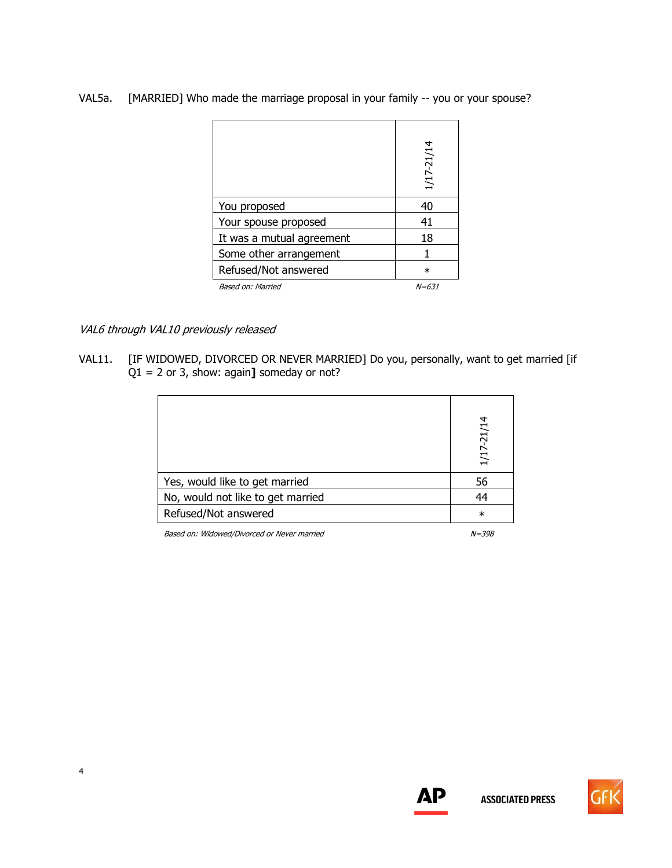VAL5a. [MARRIED] Who made the marriage proposal in your family -- you or your spouse?

|                           | 1/17-21/14 |
|---------------------------|------------|
| You proposed              | 40         |
| Your spouse proposed      | 41         |
| It was a mutual agreement | 18         |
| Some other arrangement    |            |
| Refused/Not answered      | $\ast$     |
| Based on: Married         | $N = 631$  |

VAL6 through VAL10 previously released

VAL11. [IF WIDOWED, DIVORCED OR NEVER MARRIED] Do you, personally, want to get married [if Q1 = 2 or 3, show: again**]** someday or not?

|                                   | 1/17-21/14 |
|-----------------------------------|------------|
| Yes, would like to get married    | 56         |
| No, would not like to get married | 44         |
| Refused/Not answered              | $\ast$     |
|                                   |            |

Based on: Widowed/Divorced or Never married New York 1998



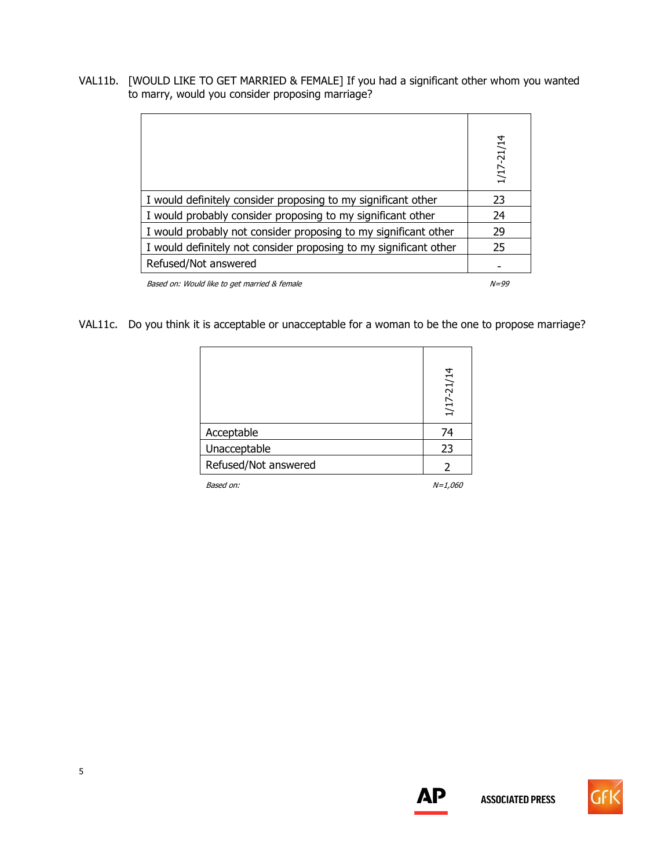VAL11b. [WOULD LIKE TO GET MARRIED & FEMALE] If you had a significant other whom you wanted to marry, would you consider proposing marriage?

|                                                                   | 1/17-21/14 |
|-------------------------------------------------------------------|------------|
| I would definitely consider proposing to my significant other     | 23         |
| I would probably consider proposing to my significant other       | 24         |
| I would probably not consider proposing to my significant other   | 29         |
| I would definitely not consider proposing to my significant other | 25         |
| Refused/Not answered                                              |            |
| Based on: Would like to get married & female                      | $N = 99$   |

VAL11c. Do you think it is acceptable or unacceptable for a woman to be the one to propose marriage?

|                      | 1/17-21/14 |
|----------------------|------------|
| Acceptable           | 74         |
| Unacceptable         | 23         |
| Refused/Not answered |            |

Based on:  $N=1,060$ 



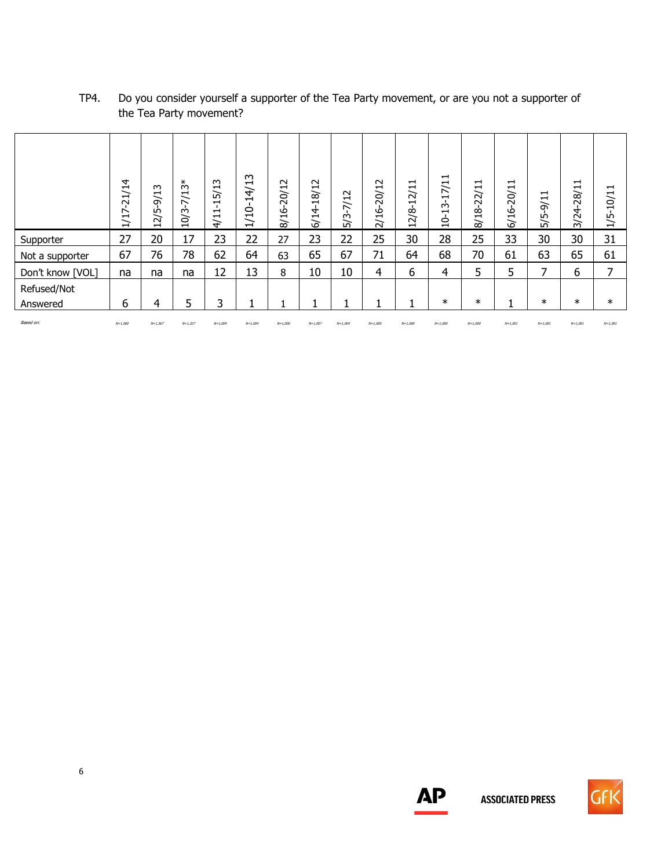|                  | 4<br>Ė<br>$\mathbf{\mathbf{\mathbf{\mathbf{\mathbf{\mathbf{\mathbf{H}}}}}}}$<br>$\overline{\mathsf{N}}$<br>↖<br>$\blacksquare$<br>$\overline{\phantom{0}}$<br>$\overline{ }$ | $\sim$<br>$\overline{\phantom{0}}$<br>∼<br>$\sigma$<br>心<br>$\sim$<br>$\blacksquare$ | $10/3 - 7/13*$ | 15/13<br>$\blacksquare$<br>$\overline{\phantom{0}}$<br>$\frac{1}{4}$ | m<br>14/1<br>$1/10-$ | 8/16-20/12 | 18/12<br>6/14 | 5/3-7/12 | 2/16-20/12 | 12/11<br>12/8 | $\mathbf{\mathbf{\mathbf{\mathbf{\mathbf{\mathbf{\mathbf{\mathbf{H}}}}}}}$<br>7/1<br>$\overline{\phantom{0}}$<br><u>بہ</u><br>$\frac{1}{2}$ | 8/18-22/11 | 20/11<br>6/16 | ᅱ<br>$-9/1$<br>5/5 | $\overline{\phantom{0}}$<br>$\overline{\phantom{0}}$<br>28/<br>3/24 | ⊣<br>10/1<br>1/5 |
|------------------|------------------------------------------------------------------------------------------------------------------------------------------------------------------------------|--------------------------------------------------------------------------------------|----------------|----------------------------------------------------------------------|----------------------|------------|---------------|----------|------------|---------------|---------------------------------------------------------------------------------------------------------------------------------------------|------------|---------------|--------------------|---------------------------------------------------------------------|------------------|
| Supporter        | 27                                                                                                                                                                           | 20                                                                                   | 17             | 23                                                                   | 22                   | 27         | 23            | 22       | 25         | 30            | 28                                                                                                                                          | 25         | 33            | 30                 | 30                                                                  | 31               |
| Not a supporter  | 67                                                                                                                                                                           | 76                                                                                   | 78             | 62                                                                   | 64                   | 63         | 65            | 67       | 71         | 64            | 68                                                                                                                                          | 70         | 61            | 63                 | 65                                                                  | 61               |
| Don't know [VOL] | na                                                                                                                                                                           | na                                                                                   | na             | 12                                                                   | 13                   | 8          | 10            | 10       | 4          | 6             | 4                                                                                                                                           | 5          | 5             | ⇁                  | 6                                                                   | ⇁                |
| Refused/Not      |                                                                                                                                                                              |                                                                                      |                |                                                                      |                      |            |               |          |            |               |                                                                                                                                             |            |               |                    |                                                                     |                  |
| Answered         | 6                                                                                                                                                                            | 4                                                                                    | 5              | 3                                                                    |                      |            |               | 1        |            |               | $\ast$                                                                                                                                      | $\ast$     |               | $\ast$             | $\ast$                                                              | $\ast$           |
|                  |                                                                                                                                                                              |                                                                                      |                |                                                                      |                      |            |               |          |            |               |                                                                                                                                             |            |               |                    |                                                                     |                  |

Based on: N=1,060 N=1,367 N=1,227 N=1,004 N=1,004 N=1,006 N=1,007 N=1,004 N=1,000 N=1,000 N=1,000 N=1,000 N=1,001 N=1,001 N=1,001 N=1,001

## TP4. Do you consider yourself a supporter of the Tea Party movement, or are you not a supporter of the Tea Party movement?



**ASSOCIATED PRESS**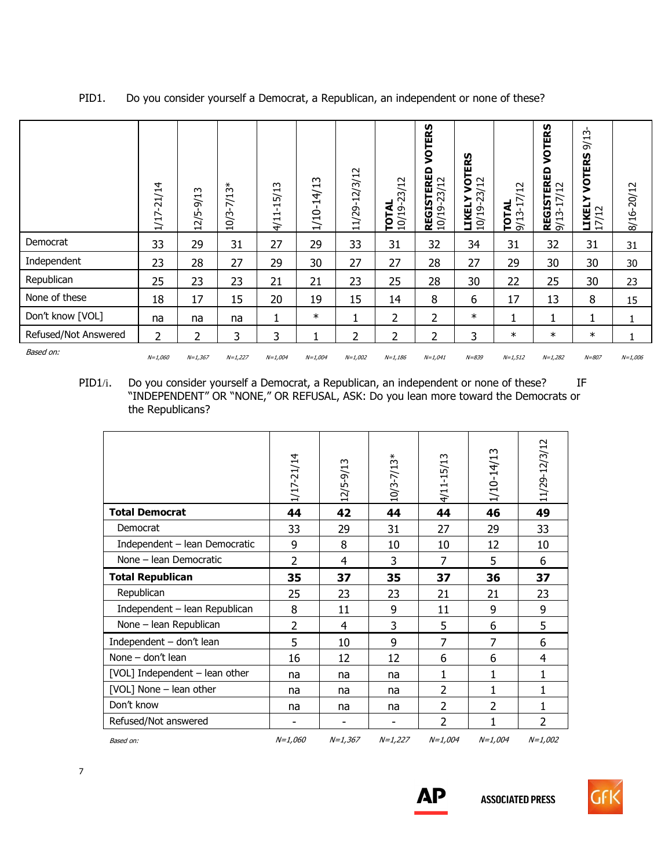|                      | $7 - 21/14$<br>$\frac{1}{1}$ | $\sim$<br>$2/5 - 9/1$<br>$\overline{\phantom{0}}$ | $-7/13*$<br>10/3 | $4/11 - 15/13$ | m<br>$\mathbf{\mathbf{\mathbf{\mathbf{\mathbf{\mathbf{\mathbf{-}}}}}}$<br>$\frac{4}{5}$<br>$\overline{\phantom{0}}$<br>1/10 | 11/29-12/3/12 | <b>TOTAL</b><br>10/19-23/12 | VOTERS<br><b>REGISTERED</b><br>10/19-23/12 | ERS<br>5<br>$\overline{12}$<br>$\approx$<br>KELY<br>LIKELY<br>10/19-23<br>戸 | $\sim$<br>$\mathbf{\mathbf{\mathbf{\mathbf{\mathbf{\mathbf{\mathbf{\mathbf{H}}}}}}$<br>$3 - 17/$<br><b>TOTAL</b><br>9/13-17 | VOTERS<br><b>REGISTERED</b><br>9/13-17/12 | $\sim$<br>$\overline{\phantom{0}}$<br>$\approx$<br>VOTERS<br>≿<br><b>LIKEI</b><br>17/12 | 8/16-20/12 |
|----------------------|------------------------------|---------------------------------------------------|------------------|----------------|-----------------------------------------------------------------------------------------------------------------------------|---------------|-----------------------------|--------------------------------------------|-----------------------------------------------------------------------------|-----------------------------------------------------------------------------------------------------------------------------|-------------------------------------------|-----------------------------------------------------------------------------------------|------------|
| Democrat             | 33                           | 29                                                | 31               | 27             | 29                                                                                                                          | 33            | 31                          | 32                                         | 34                                                                          | 31                                                                                                                          | 32                                        | 31                                                                                      | 31         |
| Independent          | 23                           | 28                                                | 27               | 29             | 30                                                                                                                          | 27            | 27                          | 28                                         | 27                                                                          | 29                                                                                                                          | 30                                        | 30                                                                                      | 30         |
| Republican           | 25                           | 23                                                | 23               | 21             | 21                                                                                                                          | 23            | 25                          | 28                                         | 30                                                                          | 22                                                                                                                          | 25                                        | 30                                                                                      | 23         |
| None of these        | 18                           | 17                                                | 15               | 20             | 19                                                                                                                          | 15            | 14                          | 8                                          | 6                                                                           | 17                                                                                                                          | 13                                        | 8                                                                                       | 15         |
| Don't know [VOL]     | na                           | na                                                | na               |                | $\ast$                                                                                                                      |               | $\overline{2}$              | $\overline{2}$                             | $\ast$                                                                      |                                                                                                                             |                                           | 1                                                                                       |            |
| Refused/Not Answered | 2                            | 2                                                 | 3                | 3              | 1<br>T.                                                                                                                     | 2             | 2                           | 2                                          | 3                                                                           | $\ast$                                                                                                                      | $\ast$                                    | $\ast$                                                                                  |            |
| Based on:            | $N = 1,060$                  | $N = 1,367$                                       | $N=1,227$        | $N=1,004$      | $N=1,004$                                                                                                                   | $N=1,002$     | $N = 1,186$                 | $N=1,041$                                  | $N = 839$                                                                   | $N = 1,512$                                                                                                                 | $N=1,282$                                 | $N = 807$                                                                               | $N=1,006$  |

## PID1. Do you consider yourself a Democrat, a Republican, an independent or none of these?

PID1/i. Do you consider yourself a Democrat, a Republican, an independent or none of these? IF "INDEPENDENT" OR "NONE," OR REFUSAL, ASK: Do you lean more toward the Democrats or the Republicans?

|                                | 1/17-21/14     | 12/5-9/13 | $10/3 - 7/13*$ | 4/11-15/13     | 1/10-14/13     | 11/29-12/3/12  |
|--------------------------------|----------------|-----------|----------------|----------------|----------------|----------------|
| <b>Total Democrat</b>          | 44             | 42        | 44             | 44             | 46             | 49             |
| Democrat                       | 33             | 29        | 31             | 27             | 29             | 33             |
| Independent - lean Democratic  | 9              | 8         | 10             | 10             | 12             | 10             |
| None - lean Democratic         | $\overline{2}$ | 4         | 3              | 7              | 5              | 6              |
| <b>Total Republican</b>        | 35             | 37        | 35             | 37             | 36             | 37             |
| Republican                     | 25             | 23        | 23             | 21             | 21             | 23             |
| Independent – lean Republican  | 8              | 11        | 9              | 11             | 9              | 9              |
| None - lean Republican         | 2              | 4         | 3              | 5              | 6              | 5              |
| Independent - don't lean       | 5              | 10        | 9              | 7              | 7              | 6              |
| None - don't lean              | 16             | 12        | 12             | 6              | 6              | 4              |
| [VOL] Independent - lean other | na             | na        | na             | 1              | 1              | 1              |
| [VOL] None - lean other        | na             | na        | na             | $\overline{2}$ | 1              | 1              |
| Don't know                     | na             | na        | na             | $\overline{2}$ | $\overline{2}$ | 1              |
| Refused/Not answered           |                |           |                | $\overline{2}$ | 1              | $\overline{2}$ |
| Based on:                      | $N=1,060$      | $N=1,367$ | $N=1,227$      | $N=1,004$      | $N=1,004$      | $N=1,002$      |



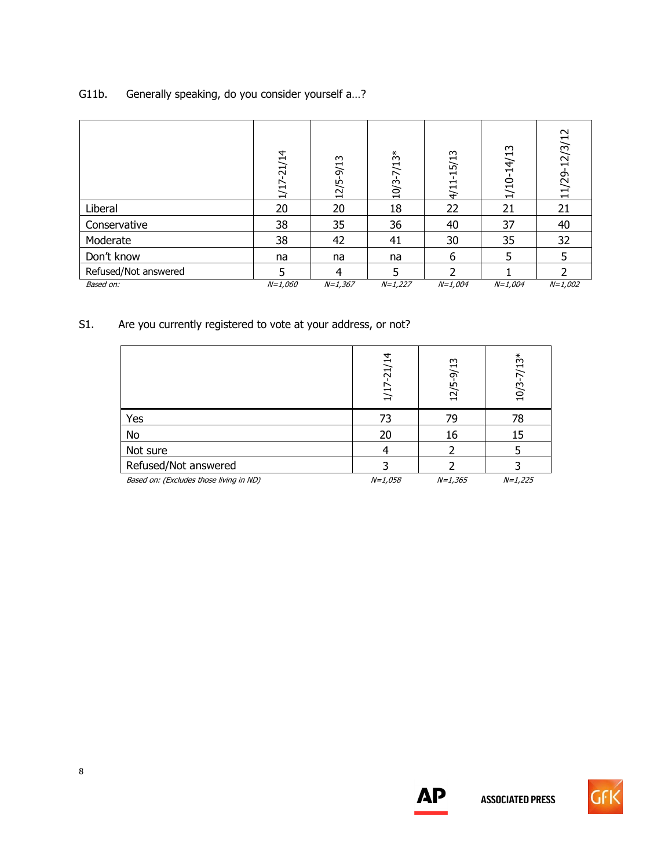## G11b. Generally speaking, do you consider yourself a…?

|                      | $-21/14$<br>1/17 | 12/5-9/13 | $10/3 - 7/13*$ | $4/11 - 15/13$ | 1/10-14/13 | $-12/3/12$<br>11/29 |
|----------------------|------------------|-----------|----------------|----------------|------------|---------------------|
| Liberal              | 20               | 20        | 18             | 22             | 21         | 21                  |
| Conservative         | 38               | 35        | 36             | 40             | 37         | 40                  |
| Moderate             | 38               | 42        | 41             | 30             | 35         | 32                  |
| Don't know           | na               | na        | na             | 6              | 5          |                     |
| Refused/Not answered | 5                | 4         | 5              | ำ              |            |                     |
| Based on:            | $N = 1,060$      | $N=1,367$ | $N=1,227$      | $N=1,004$      | $N=1,004$  | $N=1,002$           |

## S1. Are you currently registered to vote at your address, or not?

|                                         | 1/17-21/14  | 12/5-9/13 | $10/3 - 7/13*$ |
|-----------------------------------------|-------------|-----------|----------------|
| Yes                                     | 73          | 79        | 78             |
| No                                      | 20          | 16        | 15             |
| Not sure                                |             |           |                |
| Refused/Not answered                    |             |           |                |
| Based on: (Excludes those living in ND) | $N = 1,058$ | $N=1,365$ | $N=1,225$      |



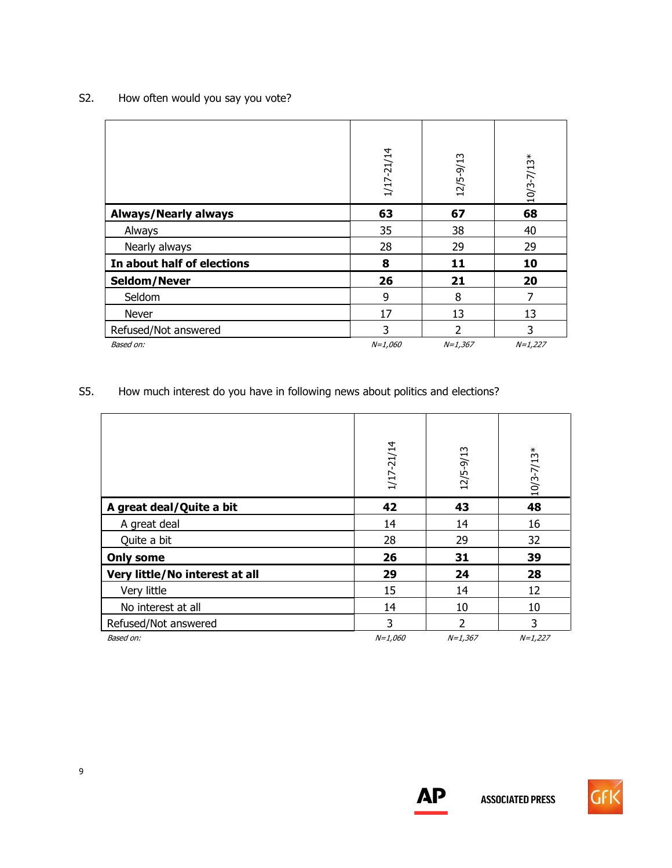## S2. How often would you say you vote?

|                             | 1/17-21/14 | 12/5-9/13      | $10/3 - 7/13*$ |
|-----------------------------|------------|----------------|----------------|
| <b>Always/Nearly always</b> | 63         | 67             | 68             |
| Always                      | 35         | 38             | 40             |
| Nearly always               | 28         | 29             | 29             |
| In about half of elections  | 8          | 11             | 10             |
| Seldom/Never                | 26         | 21             | 20             |
| Seldom                      | 9          | 8              |                |
| Never                       | 17         | 13             | 13             |
| Refused/Not answered        | 3          | $\overline{2}$ | 3              |
| Based on:                   | $N=1,060$  | $N=1,367$      | $N=1,227$      |

S5. How much interest do you have in following news about politics and elections?

|                                | 1/17-21/14 | 12/5-9/13 | $10/3 - 7/13*$ |
|--------------------------------|------------|-----------|----------------|
|                                |            |           |                |
| A great deal/Quite a bit       | 42         | 43        | 48             |
| A great deal                   | 14         | 14        | 16             |
| Quite a bit                    | 28         | 29        | 32             |
| <b>Only some</b>               | 26         | 31        | 39             |
| Very little/No interest at all | 29         | 24        | 28             |
| Very little                    | 15         | 14        | 12             |
| No interest at all             | 14         | 10        | 10             |
| Refused/Not answered           | 3          | 2         | 3              |
| Based on:                      | $N=1,060$  | $N=1,367$ | $N=1,227$      |



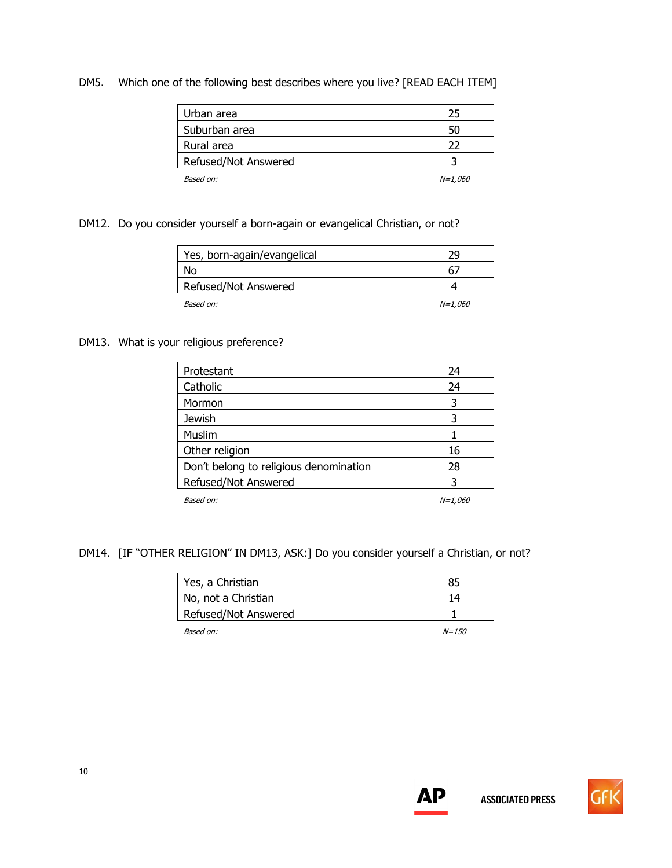#### DM5. Which one of the following best describes where you live? [READ EACH ITEM]

| Urban area           | 25             |
|----------------------|----------------|
| Suburban area        | 50             |
| Rural area           | つつ             |
| Refused/Not Answered |                |
| Based on:            | <i>N=1,060</i> |

#### DM12. Do you consider yourself a born-again or evangelical Christian, or not?

| Yes, born-again/evangelical | מכ             |
|-----------------------------|----------------|
| No                          | 6.             |
| Refused/Not Answered        |                |
| Based on:                   | <i>N=1.060</i> |

#### DM13. What is your religious preference?

| Protestant                             | 24             |
|----------------------------------------|----------------|
| Catholic                               | 24             |
| Mormon                                 | 3              |
| <b>Jewish</b>                          |                |
| Muslim                                 |                |
| Other religion                         | 16             |
| Don't belong to religious denomination | 28             |
| Refused/Not Answered                   |                |
| Based on:                              | <i>N=1,060</i> |

## DM14. [IF "OTHER RELIGION" IN DM13, ASK:] Do you consider yourself a Christian, or not?

| Yes, a Christian     |           |
|----------------------|-----------|
| No, not a Christian  | 14        |
| Refused/Not Answered |           |
| Based on:            | $N = 150$ |



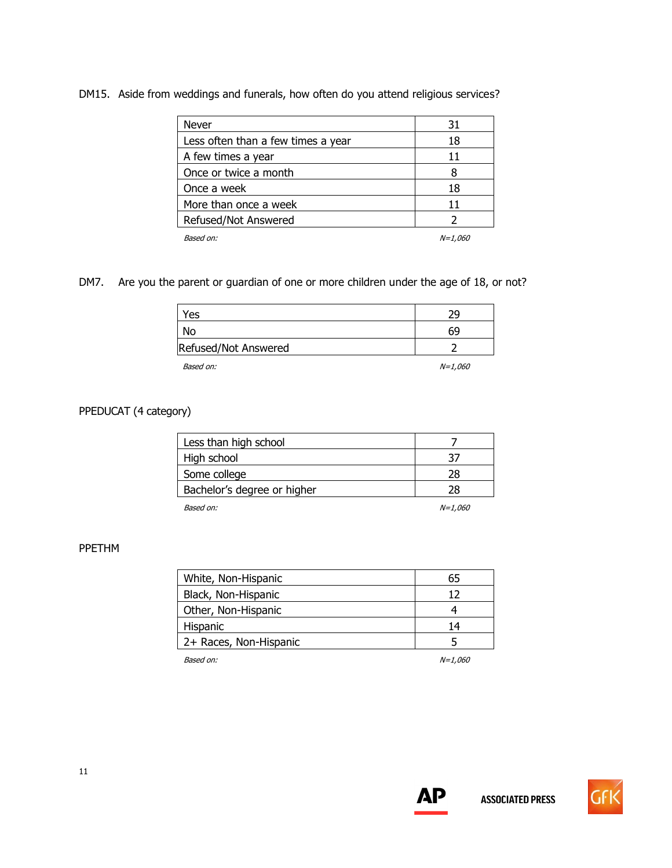## DM15. Aside from weddings and funerals, how often do you attend religious services?

| Never                              | 31             |
|------------------------------------|----------------|
| Less often than a few times a year | 18             |
| A few times a year                 | 11             |
| Once or twice a month              |                |
| Once a week                        | 18             |
| More than once a week              | 11             |
| Refused/Not Answered               |                |
| Based on:                          | <i>N=1,060</i> |

## DM7. Are you the parent or guardian of one or more children under the age of 18, or not?

| חר |
|----|
| 69 |
|    |
|    |

Based on:  $N=1,060$ 

## PPEDUCAT (4 category)

| Less than high school       |                |
|-----------------------------|----------------|
| High school                 |                |
| Some college                | 28             |
| Bachelor's degree or higher | 28             |
| Based on:                   | <i>N=1,060</i> |

#### PPETHM

| White, Non-Hispanic    | 65             |
|------------------------|----------------|
| Black, Non-Hispanic    | 12             |
| Other, Non-Hispanic    |                |
| Hispanic               | 14             |
| 2+ Races, Non-Hispanic |                |
| Based on:              | <i>N=1.060</i> |



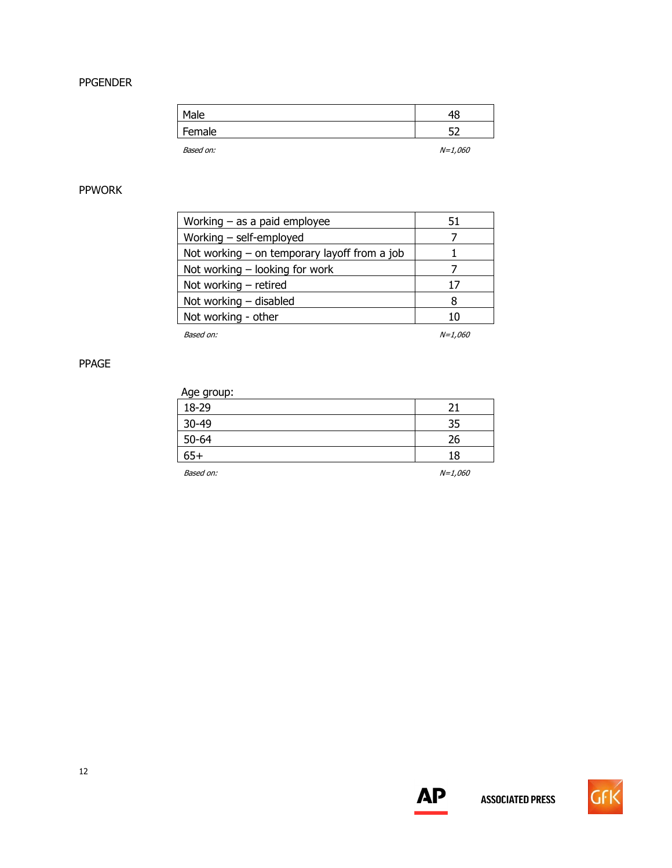#### PPGENDER

| Male      | 48        |
|-----------|-----------|
| Female    | ᄗ         |
| Based on: | $N=1,060$ |

## PPWORK

| Working $-$ as a paid employee                 | 51             |
|------------------------------------------------|----------------|
| Working $-$ self-employed                      |                |
| Not working $-$ on temporary layoff from a job |                |
| Not working $-$ looking for work               |                |
| Not working $-$ retired                        | 17             |
| Not working $-$ disabled                       | 8              |
| Not working - other                            | 10             |
| Based on:                                      | <i>N=1.060</i> |

PPAGE

| Age group: |    |
|------------|----|
| 18-29      |    |
| 30-49      | 21 |
| $50 - 64$  | 26 |
| $65+$      | 18 |

Based on:  $N=1,060$ 



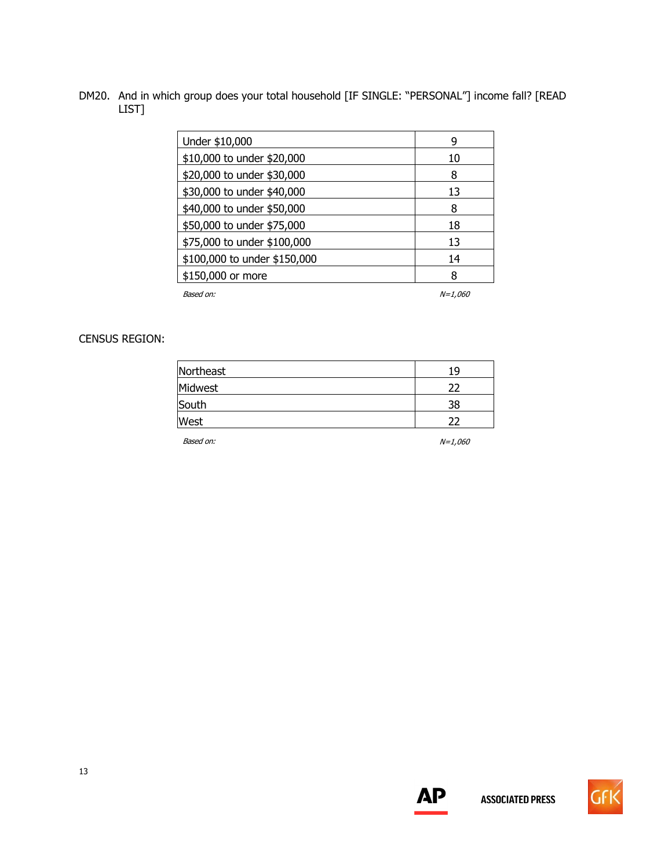DM20. And in which group does your total household [IF SINGLE: "PERSONAL"] income fall? [READ LIST]

| Under \$10,000               | q              |
|------------------------------|----------------|
| \$10,000 to under \$20,000   | 10             |
| \$20,000 to under \$30,000   | 8              |
| \$30,000 to under \$40,000   | 13             |
| \$40,000 to under \$50,000   | 8              |
| \$50,000 to under \$75,000   | 18             |
| \$75,000 to under \$100,000  | 13             |
| \$100,000 to under \$150,000 | 14             |
| \$150,000 or more            | 8              |
| Based on:                    | <i>N=1.060</i> |

CENSUS REGION:

| Northeast | 19        |
|-----------|-----------|
| Midwest   | 22        |
| South     | 38        |
| West      | 22        |
| Based on: | $N=1,060$ |